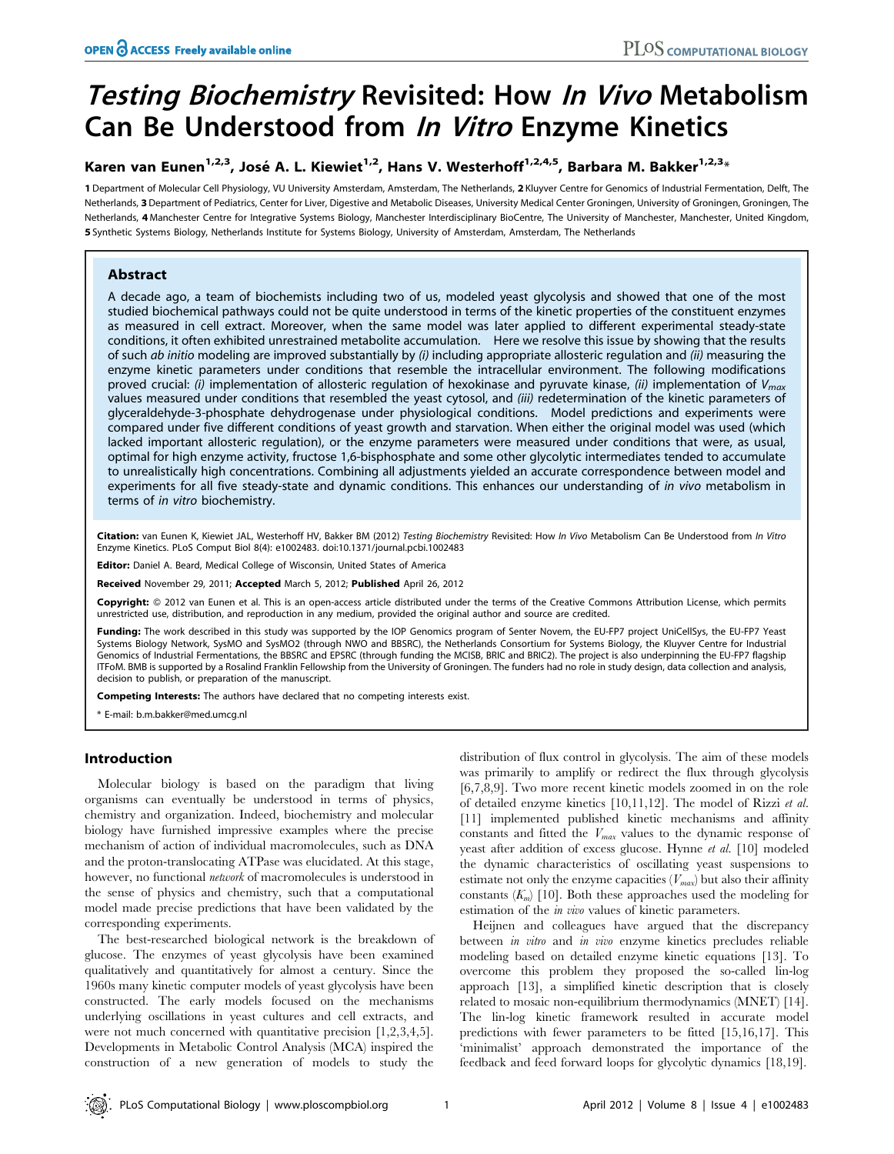# Testing Biochemistry Revisited: How In Vivo Metabolism Can Be Understood from *In Vitro* Enzyme Kinetics

# Karen van Eunen<sup>1,2,3</sup>, José A. L. Kiewiet<sup>1,2</sup>, Hans V. Westerhoff<sup>1,2,4,5</sup>, Barbara M. Bakker<sup>1,2,3</sup>\*

1 Department of Molecular Cell Physiology, VU University Amsterdam, Amsterdam, The Netherlands, 2 Kluyver Centre for Genomics of Industrial Fermentation, Delft, The Netherlands, 3 Department of Pediatrics, Center for Liver, Digestive and Metabolic Diseases, University Medical Center Groningen, University of Groningen, Groningen, The Netherlands, 4 Manchester Centre for Integrative Systems Biology, Manchester Interdisciplinary BioCentre, The University of Manchester, Manchester, United Kingdom, 5 Synthetic Systems Biology, Netherlands Institute for Systems Biology, University of Amsterdam, Amsterdam, The Netherlands

# Abstract

A decade ago, a team of biochemists including two of us, modeled yeast glycolysis and showed that one of the most studied biochemical pathways could not be quite understood in terms of the kinetic properties of the constituent enzymes as measured in cell extract. Moreover, when the same model was later applied to different experimental steady-state conditions, it often exhibited unrestrained metabolite accumulation. Here we resolve this issue by showing that the results of such ab initio modeling are improved substantially by (i) including appropriate allosteric regulation and (ii) measuring the enzyme kinetic parameters under conditions that resemble the intracellular environment. The following modifications proved crucial: (i) implementation of allosteric regulation of hexokinase and pyruvate kinase, (ii) implementation of  $V_{max}$ values measured under conditions that resembled the yeast cytosol, and (iii) redetermination of the kinetic parameters of glyceraldehyde-3-phosphate dehydrogenase under physiological conditions. Model predictions and experiments were compared under five different conditions of yeast growth and starvation. When either the original model was used (which lacked important allosteric regulation), or the enzyme parameters were measured under conditions that were, as usual, optimal for high enzyme activity, fructose 1,6-bisphosphate and some other glycolytic intermediates tended to accumulate to unrealistically high concentrations. Combining all adjustments yielded an accurate correspondence between model and experiments for all five steady-state and dynamic conditions. This enhances our understanding of in vivo metabolism in terms of in vitro biochemistry.

Citation: van Eunen K, Kiewiet JAL, Westerhoff HV, Bakker BM (2012) Testing Biochemistry Revisited: How In Vivo Metabolism Can Be Understood from In Vitro Enzyme Kinetics. PLoS Comput Biol 8(4): e1002483. doi:10.1371/journal.pcbi.1002483

Editor: Daniel A. Beard, Medical College of Wisconsin, United States of America

Received November 29, 2011; Accepted March 5, 2012; Published April 26, 2012

Copyright: © 2012 van Eunen et al. This is an open-access article distributed under the terms of the Creative Commons Attribution License, which permits unrestricted use, distribution, and reproduction in any medium, provided the original author and source are credited.

Funding: The work described in this study was supported by the IOP Genomics program of Senter Novem, the EU-FP7 project UniCellSys, the EU-FP7 Yeast Systems Biology Network, SysMO and SysMO2 (through NWO and BBSRC), the Netherlands Consortium for Systems Biology, the Kluyver Centre for Industrial Genomics of Industrial Fermentations, the BBSRC and EPSRC (through funding the MCISB, BRIC and BRIC2). The project is also underpinning the EU-FP7 flagship ITFoM. BMB is supported by a Rosalind Franklin Fellowship from the University of Groningen. The funders had no role in study design, data collection and analysis, decision to publish, or preparation of the manuscript.

Competing Interests: The authors have declared that no competing interests exist.

\* E-mail: b.m.bakker@med.umcg.nl

# Introduction

Molecular biology is based on the paradigm that living organisms can eventually be understood in terms of physics, chemistry and organization. Indeed, biochemistry and molecular biology have furnished impressive examples where the precise mechanism of action of individual macromolecules, such as DNA and the proton-translocating ATPase was elucidated. At this stage, however, no functional network of macromolecules is understood in the sense of physics and chemistry, such that a computational model made precise predictions that have been validated by the corresponding experiments.

The best-researched biological network is the breakdown of glucose. The enzymes of yeast glycolysis have been examined qualitatively and quantitatively for almost a century. Since the 1960s many kinetic computer models of yeast glycolysis have been constructed. The early models focused on the mechanisms underlying oscillations in yeast cultures and cell extracts, and were not much concerned with quantitative precision [1,2,3,4,5]. Developments in Metabolic Control Analysis (MCA) inspired the construction of a new generation of models to study the

distribution of flux control in glycolysis. The aim of these models was primarily to amplify or redirect the flux through glycolysis [6,7,8,9]. Two more recent kinetic models zoomed in on the role of detailed enzyme kinetics [10,11,12]. The model of Rizzi et al. [11] implemented published kinetic mechanisms and affinity constants and fitted the  $V_{max}$  values to the dynamic response of yeast after addition of excess glucose. Hynne et al. [10] modeled the dynamic characteristics of oscillating yeast suspensions to estimate not only the enzyme capacities  $(V_{max})$  but also their affinity constants  $(K_m)$  [10]. Both these approaches used the modeling for estimation of the *in vivo* values of kinetic parameters.

Heijnen and colleagues have argued that the discrepancy between in vitro and in vivo enzyme kinetics precludes reliable modeling based on detailed enzyme kinetic equations [13]. To overcome this problem they proposed the so-called lin-log approach [13], a simplified kinetic description that is closely related to mosaic non-equilibrium thermodynamics (MNET) [14]. The lin-log kinetic framework resulted in accurate model predictions with fewer parameters to be fitted [15,16,17]. This 'minimalist' approach demonstrated the importance of the feedback and feed forward loops for glycolytic dynamics [18,19].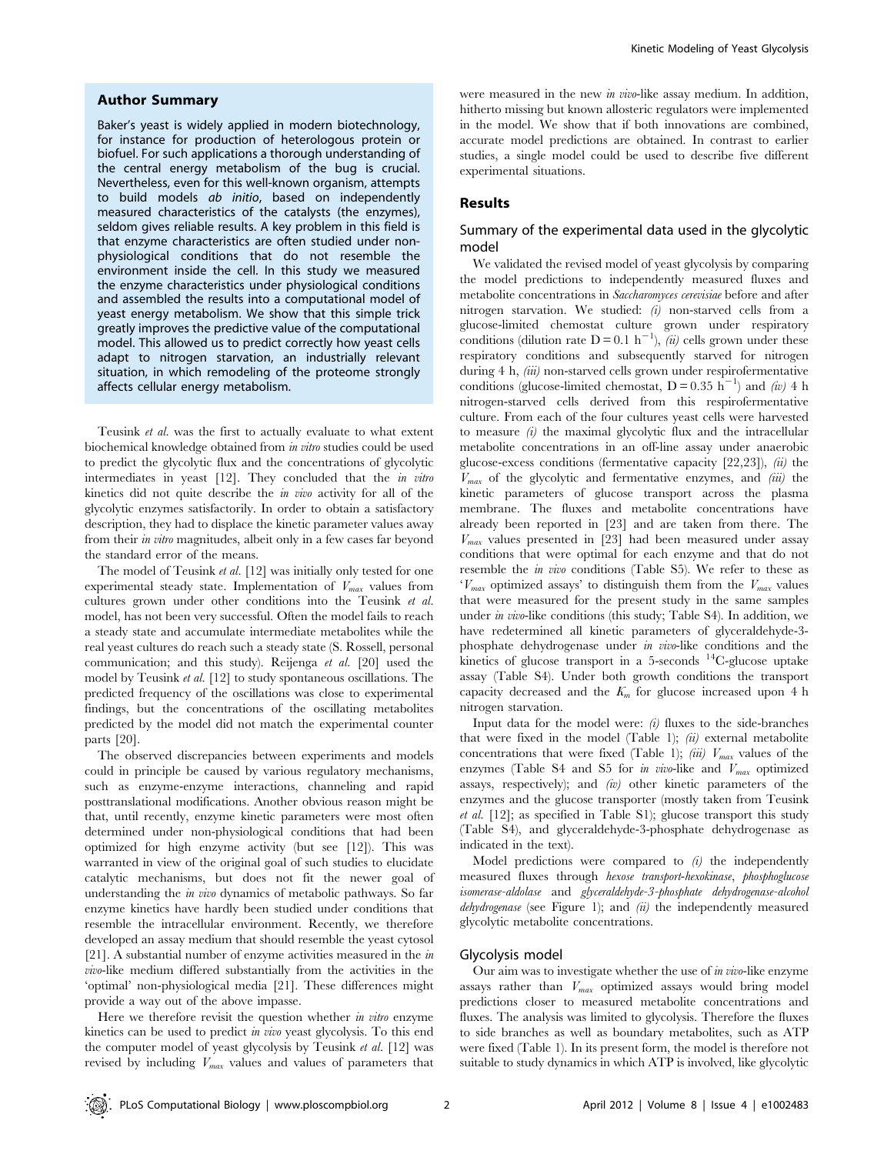### Author Summary

Baker's yeast is widely applied in modern biotechnology, for instance for production of heterologous protein or biofuel. For such applications a thorough understanding of the central energy metabolism of the bug is crucial. Nevertheless, even for this well-known organism, attempts to build models ab initio, based on independently measured characteristics of the catalysts (the enzymes), seldom gives reliable results. A key problem in this field is that enzyme characteristics are often studied under nonphysiological conditions that do not resemble the environment inside the cell. In this study we measured the enzyme characteristics under physiological conditions and assembled the results into a computational model of yeast energy metabolism. We show that this simple trick greatly improves the predictive value of the computational model. This allowed us to predict correctly how yeast cells adapt to nitrogen starvation, an industrially relevant situation, in which remodeling of the proteome strongly affects cellular energy metabolism.

Teusink et al. was the first to actually evaluate to what extent biochemical knowledge obtained from in vitro studies could be used to predict the glycolytic flux and the concentrations of glycolytic intermediates in yeast [12]. They concluded that the in vitro kinetics did not quite describe the in vivo activity for all of the glycolytic enzymes satisfactorily. In order to obtain a satisfactory description, they had to displace the kinetic parameter values away from their in vitro magnitudes, albeit only in a few cases far beyond the standard error of the means.

The model of Teusink et al. [12] was initially only tested for one experimental steady state. Implementation of  $V_{max}$  values from cultures grown under other conditions into the Teusink et al. model, has not been very successful. Often the model fails to reach a steady state and accumulate intermediate metabolites while the real yeast cultures do reach such a steady state (S. Rossell, personal communication; and this study). Reijenga et al. [20] used the model by Teusink et al. [12] to study spontaneous oscillations. The predicted frequency of the oscillations was close to experimental findings, but the concentrations of the oscillating metabolites predicted by the model did not match the experimental counter parts [20].

The observed discrepancies between experiments and models could in principle be caused by various regulatory mechanisms, such as enzyme-enzyme interactions, channeling and rapid posttranslational modifications. Another obvious reason might be that, until recently, enzyme kinetic parameters were most often determined under non-physiological conditions that had been optimized for high enzyme activity (but see [12]). This was warranted in view of the original goal of such studies to elucidate catalytic mechanisms, but does not fit the newer goal of understanding the in vivo dynamics of metabolic pathways. So far enzyme kinetics have hardly been studied under conditions that resemble the intracellular environment. Recently, we therefore developed an assay medium that should resemble the yeast cytosol [21]. A substantial number of enzyme activities measured in the  $\dot{m}$ vivo-like medium differed substantially from the activities in the 'optimal' non-physiological media [21]. These differences might provide a way out of the above impasse.

Here we therefore revisit the question whether in vitro enzyme kinetics can be used to predict in vivo yeast glycolysis. To this end the computer model of yeast glycolysis by Teusink et al. [12] was revised by including  $V_{max}$  values and values of parameters that

were measured in the new *in vivo*-like assay medium. In addition, hitherto missing but known allosteric regulators were implemented in the model. We show that if both innovations are combined, accurate model predictions are obtained. In contrast to earlier studies, a single model could be used to describe five different experimental situations.

## Results

# Summary of the experimental data used in the glycolytic model

We validated the revised model of yeast glycolysis by comparing the model predictions to independently measured fluxes and metabolite concentrations in Saccharomyces cerevisiae before and after nitrogen starvation. We studied: (i) non-starved cells from a glucose-limited chemostat culture grown under respiratory conditions (dilution rate  $D = 0.1 h^{-1}$ ), (ii) cells grown under these respiratory conditions and subsequently starved for nitrogen during 4 h, (iii) non-starved cells grown under respirofermentative conditions (glucose-limited chemostat,  $D = 0.35$   $h^{-1}$ ) and (iv) 4 h nitrogen-starved cells derived from this respirofermentative culture. From each of the four cultures yeast cells were harvested to measure  $(i)$  the maximal glycolytic flux and the intracellular metabolite concentrations in an off-line assay under anaerobic glucose-excess conditions (fermentative capacity  $[22,23]$ ),  $(ii)$  the  $V_{max}$  of the glycolytic and fermentative enzymes, and (iii) the kinetic parameters of glucose transport across the plasma membrane. The fluxes and metabolite concentrations have already been reported in [23] and are taken from there. The  $V_{max}$  values presented in [23] had been measured under assay conditions that were optimal for each enzyme and that do not resemble the in vivo conditions (Table S5). We refer to these as  $V_{max}$  optimized assays' to distinguish them from the  $V_{max}$  values that were measured for the present study in the same samples under in vivo-like conditions (this study; Table S4). In addition, we have redetermined all kinetic parameters of glyceraldehyde-3 phosphate dehydrogenase under in vivo-like conditions and the kinetics of glucose transport in a 5-seconds  $^{14}$ C-glucose uptake assay (Table S4). Under both growth conditions the transport capacity decreased and the  $K_m$  for glucose increased upon 4 h nitrogen starvation.

Input data for the model were:  $(i)$  fluxes to the side-branches that were fixed in the model (Table 1);  $\langle \hat{u} \rangle$  external metabolite concentrations that were fixed (Table 1); (iii)  $V_{max}$  values of the enzymes (Table S4 and S5 for  $in$  vivo-like and  $V_{max}$  optimized assays, respectively); and  $(w)$  other kinetic parameters of the enzymes and the glucose transporter (mostly taken from Teusink et al. [12]; as specified in Table S1); glucose transport this study (Table S4), and glyceraldehyde-3-phosphate dehydrogenase as indicated in the text).

Model predictions were compared to  $(i)$  the independently measured fluxes through hexose transport-hexokinase, phosphoglucose isomerase-aldolase and glyceraldehyde-3-phosphate dehydrogenase-alcohol  $dehydrogenase$  (see Figure 1); and  $(ii)$  the independently measured glycolytic metabolite concentrations.

## Glycolysis model

Our aim was to investigate whether the use of in vivo-like enzyme assays rather than  $V_{max}$  optimized assays would bring model predictions closer to measured metabolite concentrations and fluxes. The analysis was limited to glycolysis. Therefore the fluxes to side branches as well as boundary metabolites, such as ATP were fixed (Table 1). In its present form, the model is therefore not suitable to study dynamics in which ATP is involved, like glycolytic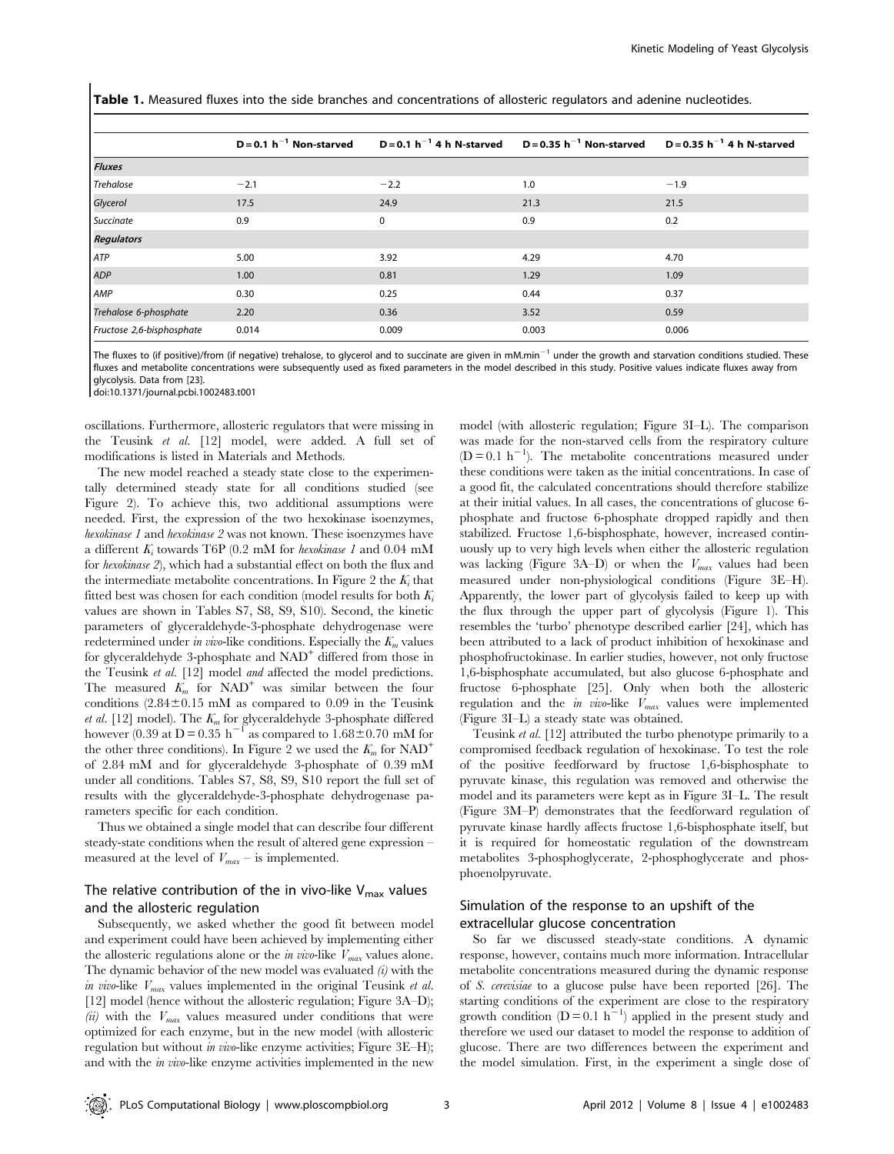Table 1. Measured fluxes into the side branches and concentrations of allosteric regulators and adenine nucleotides.

|                           | $D = 0.1 h^{-1}$ Non-starved | $D = 0.1 h^{-1}$ 4 h N-starved | $D = 0.35 h^{-1}$ Non-starved | $D = 0.35 h^{-1}$ 4 h N-starved |
|---------------------------|------------------------------|--------------------------------|-------------------------------|---------------------------------|
| <b>Fluxes</b>             |                              |                                |                               |                                 |
| Trehalose                 | $-2.1$                       | $-2.2$                         | 1.0                           | $-1.9$                          |
| Glycerol                  | 17.5                         | 24.9                           | 21.3                          | 21.5                            |
| Succinate                 | 0.9                          | $\mathbf 0$                    | 0.9                           | 0.2                             |
| <b>Regulators</b>         |                              |                                |                               |                                 |
| ATP                       | 5.00                         | 3.92                           | 4.29                          | 4.70                            |
| ADP                       | 1.00                         | 0.81                           | 1.29                          | 1.09                            |
| AMP                       | 0.30                         | 0.25                           | 0.44                          | 0.37                            |
| Trehalose 6-phosphate     | 2.20                         | 0.36                           | 3.52                          | 0.59                            |
| Fructose 2,6-bisphosphate | 0.014                        | 0.009                          | 0.003                         | 0.006                           |

The fluxes to (if positive)/from (if negative) trehalose, to glycerol and to succinate are given in mM.min<sup>-1</sup> under the growth and starvation conditions studied. These fluxes and metabolite concentrations were subsequently used as fixed parameters in the model described in this study. Positive values indicate fluxes away from glycolysis. Data from [23].

doi:10.1371/journal.pcbi.1002483.t001

oscillations. Furthermore, allosteric regulators that were missing in the Teusink et al. [12] model, were added. A full set of modifications is listed in Materials and Methods.

The new model reached a steady state close to the experimentally determined steady state for all conditions studied (see Figure 2). To achieve this, two additional assumptions were needed. First, the expression of the two hexokinase isoenzymes, hexokinase 1 and hexokinase 2 was not known. These isoenzymes have a different  $K_i$  towards T6P (0.2 mM for hexokinase 1 and 0.04 mM for hexokinase 2), which had a substantial effect on both the flux and the intermediate metabolite concentrations. In Figure 2 the  $K_i$  that fitted best was chosen for each condition (model results for both  $K_i$ values are shown in Tables S7, S8, S9, S10). Second, the kinetic parameters of glyceraldehyde-3-phosphate dehydrogenase were redetermined under in vivo-like conditions. Especially the  $K<sub>m</sub>$  values for glyceraldehyde 3-phosphate and NAD<sup>+</sup> differed from those in the Teusink et al. [12] model and affected the model predictions. The measured  $K_m$  for NAD<sup>+</sup> was similar between the four conditions  $(2.84\pm0.15 \text{ mM})$  as compared to 0.09 in the Teusink *et al.* [12] model). The  $K_m$  for glyceraldehyde 3-phosphate differed however (0.39 at  $D = 0.35$  h<sup>-1</sup> as compared to 1.68 $\pm$ 0.70 mM for the other three conditions). In Figure 2 we used the  $K_m$  for NAD<sup>+</sup> of 2.84 mM and for glyceraldehyde 3-phosphate of 0.39 mM under all conditions. Tables S7, S8, S9, S10 report the full set of results with the glyceraldehyde-3-phosphate dehydrogenase parameters specific for each condition.

Thus we obtained a single model that can describe four different steady-state conditions when the result of altered gene expression – measured at the level of  $V_{max}$  – is implemented.

## The relative contribution of the in vivo-like  $V_{\text{max}}$  values and the allosteric regulation

Subsequently, we asked whether the good fit between model and experiment could have been achieved by implementing either the allosteric regulations alone or the *in vivo*-like  $V_{max}$  values alone. The dynamic behavior of the new model was evaluated  $(i)$  with the in vivo-like  $V_{max}$  values implemented in the original Teusink et al. [12] model (hence without the allosteric regulation; Figure 3A–D); (ii) with the  $V_{max}$  values measured under conditions that were optimized for each enzyme, but in the new model (with allosteric regulation but without in vivo-like enzyme activities; Figure  $3E-H$ ); and with the in vivo-like enzyme activities implemented in the new

model (with allosteric regulation; Figure 3I–L). The comparison was made for the non-starved cells from the respiratory culture  $(D = 0.1 h^{-1})$ . The metabolite concentrations measured under these conditions were taken as the initial concentrations. In case of a good fit, the calculated concentrations should therefore stabilize at their initial values. In all cases, the concentrations of glucose 6 phosphate and fructose 6-phosphate dropped rapidly and then stabilized. Fructose 1,6-bisphosphate, however, increased continuously up to very high levels when either the allosteric regulation was lacking (Figure 3A–D) or when the  $V_{max}$  values had been measured under non-physiological conditions (Figure 3E–H). Apparently, the lower part of glycolysis failed to keep up with the flux through the upper part of glycolysis (Figure 1). This resembles the 'turbo' phenotype described earlier [24], which has been attributed to a lack of product inhibition of hexokinase and phosphofructokinase. In earlier studies, however, not only fructose 1,6-bisphosphate accumulated, but also glucose 6-phosphate and fructose 6-phosphate [25]. Only when both the allosteric regulation and the in vivo-like  $V_{max}$  values were implemented (Figure 3I–L) a steady state was obtained.

Teusink et al. [12] attributed the turbo phenotype primarily to a compromised feedback regulation of hexokinase. To test the role of the positive feedforward by fructose 1,6-bisphosphate to pyruvate kinase, this regulation was removed and otherwise the model and its parameters were kept as in Figure 3I–L. The result (Figure 3M–P) demonstrates that the feedforward regulation of pyruvate kinase hardly affects fructose 1,6-bisphosphate itself, but it is required for homeostatic regulation of the downstream metabolites 3-phosphoglycerate, 2-phosphoglycerate and phosphoenolpyruvate.

# Simulation of the response to an upshift of the extracellular glucose concentration

So far we discussed steady-state conditions. A dynamic response, however, contains much more information. Intracellular metabolite concentrations measured during the dynamic response of S. cerevisiae to a glucose pulse have been reported [26]. The starting conditions of the experiment are close to the respiratory growth condition  $(D = 0.1 h^{-1})$  applied in the present study and therefore we used our dataset to model the response to addition of glucose. There are two differences between the experiment and the model simulation. First, in the experiment a single dose of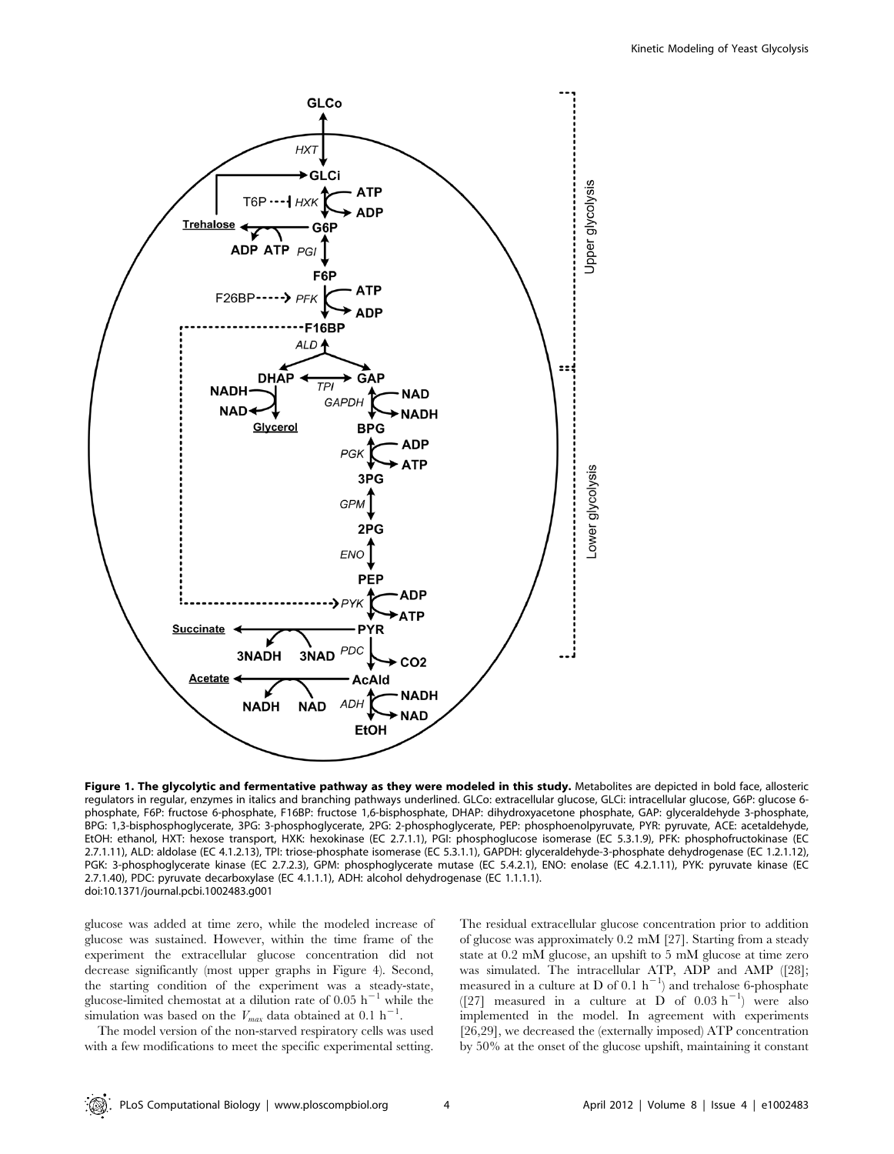

Figure 1. The glycolytic and fermentative pathway as they were modeled in this study. Metabolites are depicted in bold face, allosteric regulators in regular, enzymes in italics and branching pathways underlined. GLCo: extracellular glucose, GLCi: intracellular glucose, G6P: glucose 6 phosphate, F6P: fructose 6-phosphate, F16BP: fructose 1,6-bisphosphate, DHAP: dihydroxyacetone phosphate, GAP: glyceraldehyde 3-phosphate, BPG: 1,3-bisphosphoglycerate, 3PG: 3-phosphoglycerate, 2PG: 2-phosphoglycerate, PEP: phosphoenolpyruvate, PYR: pyruvate, ACE: acetaldehyde, EtOH: ethanol, HXT: hexose transport, HXK: hexokinase (EC 2.7.1.1), PGI: phosphoglucose isomerase (EC 5.3.1.9), PFK: phosphofructokinase (EC 2.7.1.11), ALD: aldolase (EC 4.1.2.13), TPI: triose-phosphate isomerase (EC 5.3.1.1), GAPDH: glyceraldehyde-3-phosphate dehydrogenase (EC 1.2.1.12), PGK: 3-phosphoglycerate kinase (EC 2.7.2.3), GPM: phosphoglycerate mutase (EC 5.4.2.1), ENO: enolase (EC 4.2.1.11), PYK: pyruvate kinase (EC 2.7.1.40), PDC: pyruvate decarboxylase (EC 4.1.1.1), ADH: alcohol dehydrogenase (EC 1.1.1.1). doi:10.1371/journal.pcbi.1002483.g001

glucose was added at time zero, while the modeled increase of glucose was sustained. However, within the time frame of the experiment the extracellular glucose concentration did not decrease significantly (most upper graphs in Figure 4). Second, the starting condition of the experiment was a steady-state, glucose-limited chemostat at a dilution rate of 0.05  $h^{-1}$  while the simulation was based on the  $V_{max}$  data obtained at 0.1 h<sup>-1</sup>.

The model version of the non-starved respiratory cells was used with a few modifications to meet the specific experimental setting.

The residual extracellular glucose concentration prior to addition of glucose was approximately 0.2 mM [27]. Starting from a steady state at 0.2 mM glucose, an upshift to 5 mM glucose at time zero was simulated. The intracellular ATP, ADP and AMP ([28]; measured in a culture at D of 0.1  $h^{-1}$ ) and trehalose 6-phosphate ([27] measured in a culture at  $\overrightarrow{D}$  of 0.03 h<sup>-1</sup>) were also implemented in the model. In agreement with experiments [26,29], we decreased the (externally imposed) ATP concentration by 50% at the onset of the glucose upshift, maintaining it constant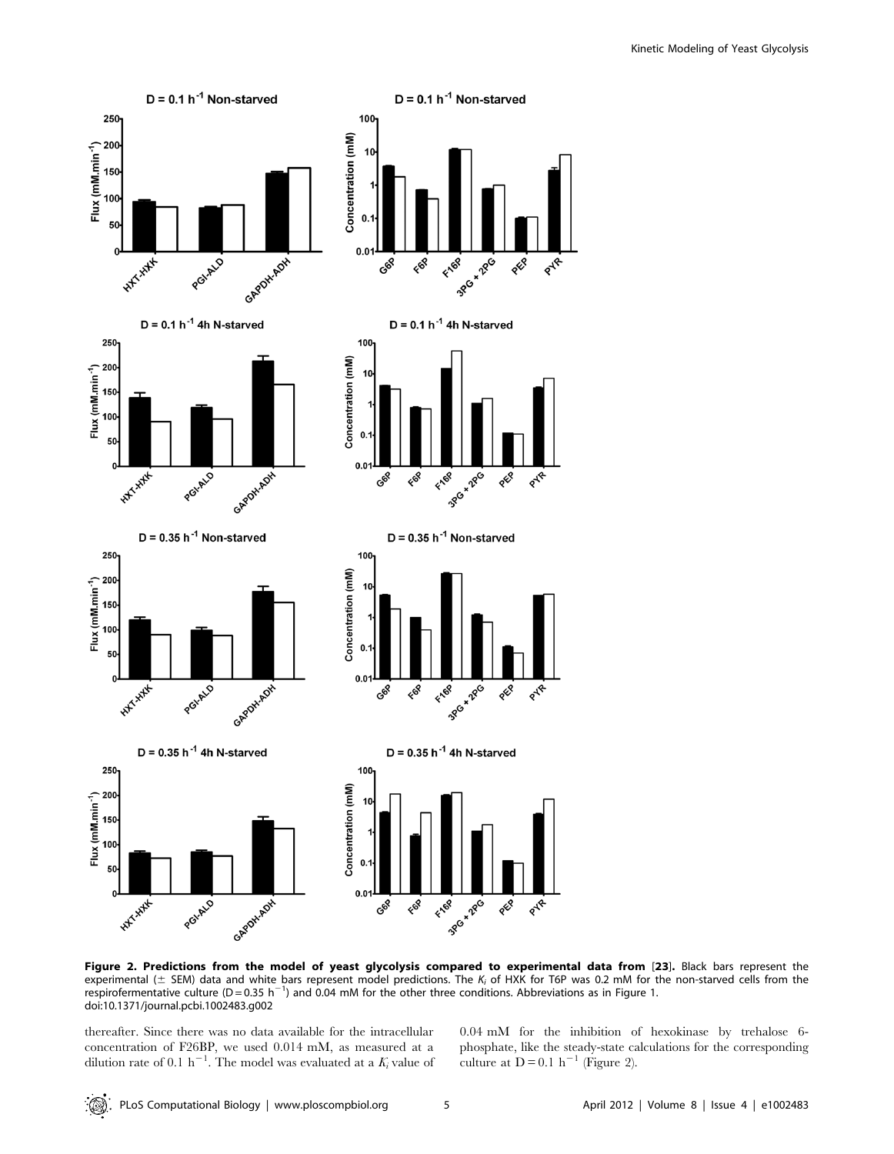

Figure 2. Predictions from the model of yeast glycolysis compared to experimental data from [23]. Black bars represent the experimental ( $\pm$  SEM) data and white bars represent model predictions. The  $K_i$  of HXK for T6P was 0.2 mM for the non-starved cells from the respirofermentative culture (D = 0.35 h<sup>-1</sup>) and 0.04 mM for the other three conditions. Abbreviations as in Figure 1. doi:10.1371/journal.pcbi.1002483.g002

thereafter. Since there was no data available for the intracellular concentration of F26BP, we used 0.014 mM, as measured at a dilution rate of 0.1 h<sup>-1</sup>. The model was evaluated at a  $K_i$  value of

0.04 mM for the inhibition of hexokinase by trehalose 6 phosphate, like the steady-state calculations for the corresponding culture at  $D = 0.1$  h<sup>-1</sup> (Figure 2).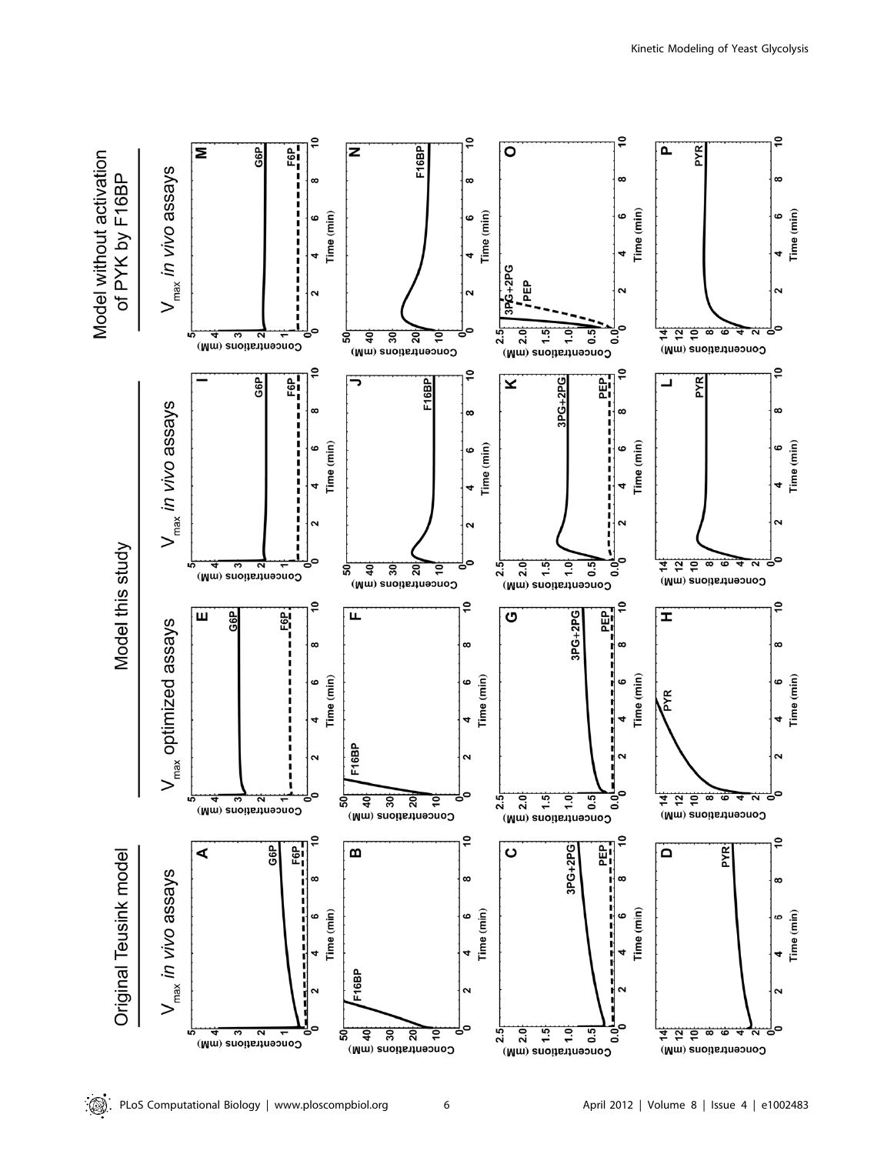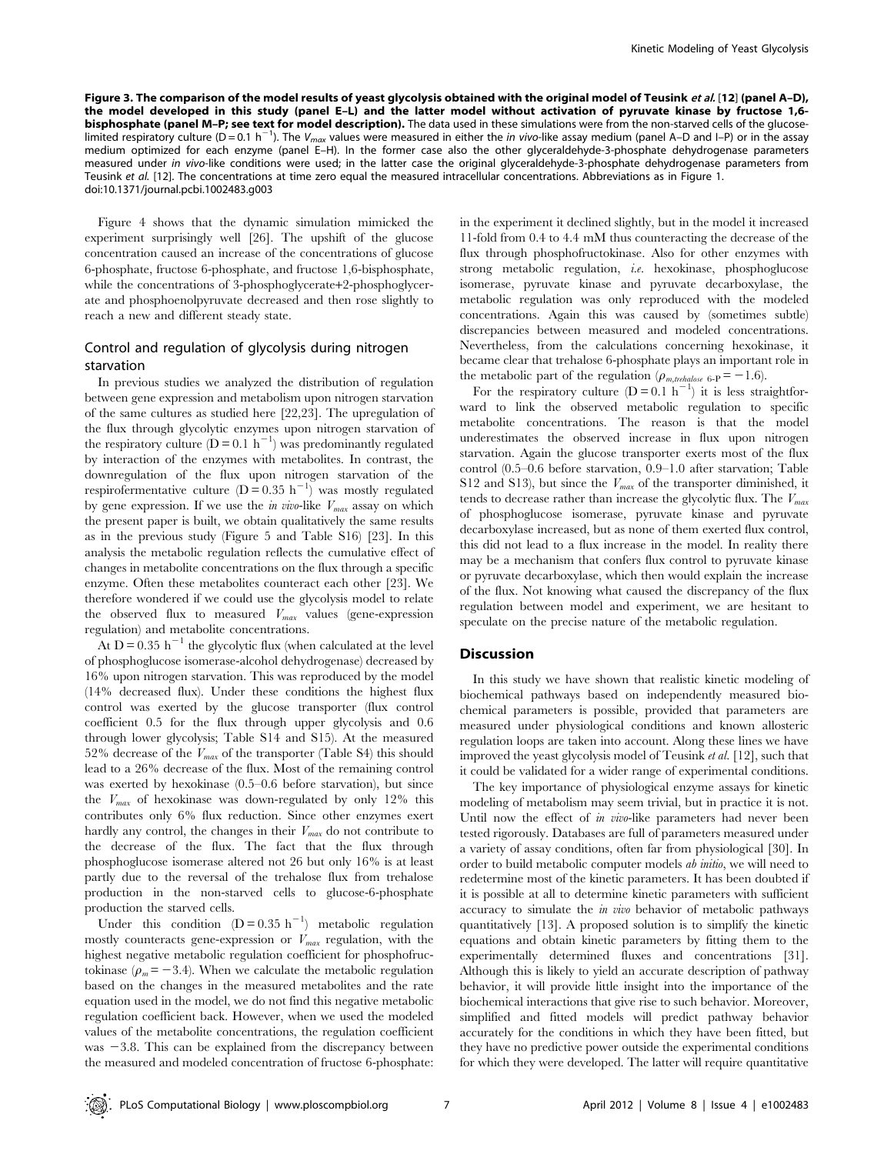Figure 3. The comparison of the model results of yeast glycolysis obtained with the original model of Teusink et al. [12] (panel A-D), the model developed in this study (panel E–L) and the latter model without activation of pyruvate kinase by fructose 1,6 bisphosphate (panel M-P; see text for model description). The data used in these simulations were from the non-starved cells of the glucoselimited respiratory culture (D = 0.1 h<sup>-1</sup>). The V<sub>max</sub> values were measured in either the *in vivo*-like assay medium (panel A–D and I–P) or in the assay medium optimized for each enzyme (panel E–H). In the former case also the other glyceraldehyde-3-phosphate dehydrogenase parameters measured under in vivo-like conditions were used; in the latter case the original glyceraldehyde-3-phosphate dehydrogenase parameters from Teusink et al. [12]. The concentrations at time zero equal the measured intracellular concentrations. Abbreviations as in Figure 1. doi:10.1371/journal.pcbi.1002483.g003

Figure 4 shows that the dynamic simulation mimicked the experiment surprisingly well [26]. The upshift of the glucose concentration caused an increase of the concentrations of glucose 6-phosphate, fructose 6-phosphate, and fructose 1,6-bisphosphate, while the concentrations of 3-phosphoglycerate+2-phosphoglycerate and phosphoenolpyruvate decreased and then rose slightly to reach a new and different steady state.

# Control and regulation of glycolysis during nitrogen starvation

In previous studies we analyzed the distribution of regulation between gene expression and metabolism upon nitrogen starvation of the same cultures as studied here [22,23]. The upregulation of the flux through glycolytic enzymes upon nitrogen starvation of the respiratory culture  $(D = 0.1 h^{-1})$  was predominantly regulated by interaction of the enzymes with metabolites. In contrast, the downregulation of the flux upon nitrogen starvation of the respirofermentative culture  $(D = 0.35 \text{ h}^{-1})$  was mostly regulated by gene expression. If we use the  $in$  vivo-like  $V_{max}$  assay on which the present paper is built, we obtain qualitatively the same results as in the previous study (Figure 5 and Table S16) [23]. In this analysis the metabolic regulation reflects the cumulative effect of changes in metabolite concentrations on the flux through a specific enzyme. Often these metabolites counteract each other [23]. We therefore wondered if we could use the glycolysis model to relate the observed flux to measured  $V_{max}$  values (gene-expression regulation) and metabolite concentrations.

At  $D = 0.35$  h<sup>-1</sup> the glycolytic flux (when calculated at the level of phosphoglucose isomerase-alcohol dehydrogenase) decreased by 16% upon nitrogen starvation. This was reproduced by the model (14% decreased flux). Under these conditions the highest flux control was exerted by the glucose transporter (flux control coefficient 0.5 for the flux through upper glycolysis and 0.6 through lower glycolysis; Table S14 and S15). At the measured 52% decrease of the  $V_{max}$  of the transporter (Table S4) this should lead to a 26% decrease of the flux. Most of the remaining control was exerted by hexokinase (0.5–0.6 before starvation), but since the  $V_{max}$  of hexokinase was down-regulated by only 12% this contributes only 6% flux reduction. Since other enzymes exert hardly any control, the changes in their  $V_{max}$  do not contribute to the decrease of the flux. The fact that the flux through phosphoglucose isomerase altered not 26 but only 16% is at least partly due to the reversal of the trehalose flux from trehalose production in the non-starved cells to glucose-6-phosphate production the starved cells.

Under this condition  $(D = 0.35 \text{ h}^{-1})$  metabolic regulation mostly counteracts gene-expression or  $V_{max}$  regulation, with the highest negative metabolic regulation coefficient for phosphofructokinase ( $\rho_m$  = -3.4). When we calculate the metabolic regulation based on the changes in the measured metabolites and the rate equation used in the model, we do not find this negative metabolic regulation coefficient back. However, when we used the modeled values of the metabolite concentrations, the regulation coefficient was  $-3.8$ . This can be explained from the discrepancy between the measured and modeled concentration of fructose 6-phosphate:

in the experiment it declined slightly, but in the model it increased 11-fold from 0.4 to 4.4 mM thus counteracting the decrease of the flux through phosphofructokinase. Also for other enzymes with strong metabolic regulation, i.e. hexokinase, phosphoglucose isomerase, pyruvate kinase and pyruvate decarboxylase, the metabolic regulation was only reproduced with the modeled concentrations. Again this was caused by (sometimes subtle) discrepancies between measured and modeled concentrations. Nevertheless, from the calculations concerning hexokinase, it became clear that trehalose 6-phosphate plays an important role in the metabolic part of the regulation ( $\rho_{m, trehalose}$  6-P = -1.6).

For the respiratory culture  $(D = 0.1 h^{-1})$  it is less straightforward to link the observed metabolic regulation to specific metabolite concentrations. The reason is that the model underestimates the observed increase in flux upon nitrogen starvation. Again the glucose transporter exerts most of the flux control (0.5–0.6 before starvation, 0.9–1.0 after starvation; Table S12 and S13), but since the  $V_{max}$  of the transporter diminished, it tends to decrease rather than increase the glycolytic flux. The  $V_{max}$ of phosphoglucose isomerase, pyruvate kinase and pyruvate decarboxylase increased, but as none of them exerted flux control, this did not lead to a flux increase in the model. In reality there may be a mechanism that confers flux control to pyruvate kinase or pyruvate decarboxylase, which then would explain the increase of the flux. Not knowing what caused the discrepancy of the flux regulation between model and experiment, we are hesitant to speculate on the precise nature of the metabolic regulation.

## **Discussion**

In this study we have shown that realistic kinetic modeling of biochemical pathways based on independently measured biochemical parameters is possible, provided that parameters are measured under physiological conditions and known allosteric regulation loops are taken into account. Along these lines we have improved the yeast glycolysis model of Teusink et al. [12], such that it could be validated for a wider range of experimental conditions.

The key importance of physiological enzyme assays for kinetic modeling of metabolism may seem trivial, but in practice it is not. Until now the effect of in vivo-like parameters had never been tested rigorously. Databases are full of parameters measured under a variety of assay conditions, often far from physiological [30]. In order to build metabolic computer models ab initio, we will need to redetermine most of the kinetic parameters. It has been doubted if it is possible at all to determine kinetic parameters with sufficient accuracy to simulate the in vivo behavior of metabolic pathways quantitatively [13]. A proposed solution is to simplify the kinetic equations and obtain kinetic parameters by fitting them to the experimentally determined fluxes and concentrations [31]. Although this is likely to yield an accurate description of pathway behavior, it will provide little insight into the importance of the biochemical interactions that give rise to such behavior. Moreover, simplified and fitted models will predict pathway behavior accurately for the conditions in which they have been fitted, but they have no predictive power outside the experimental conditions for which they were developed. The latter will require quantitative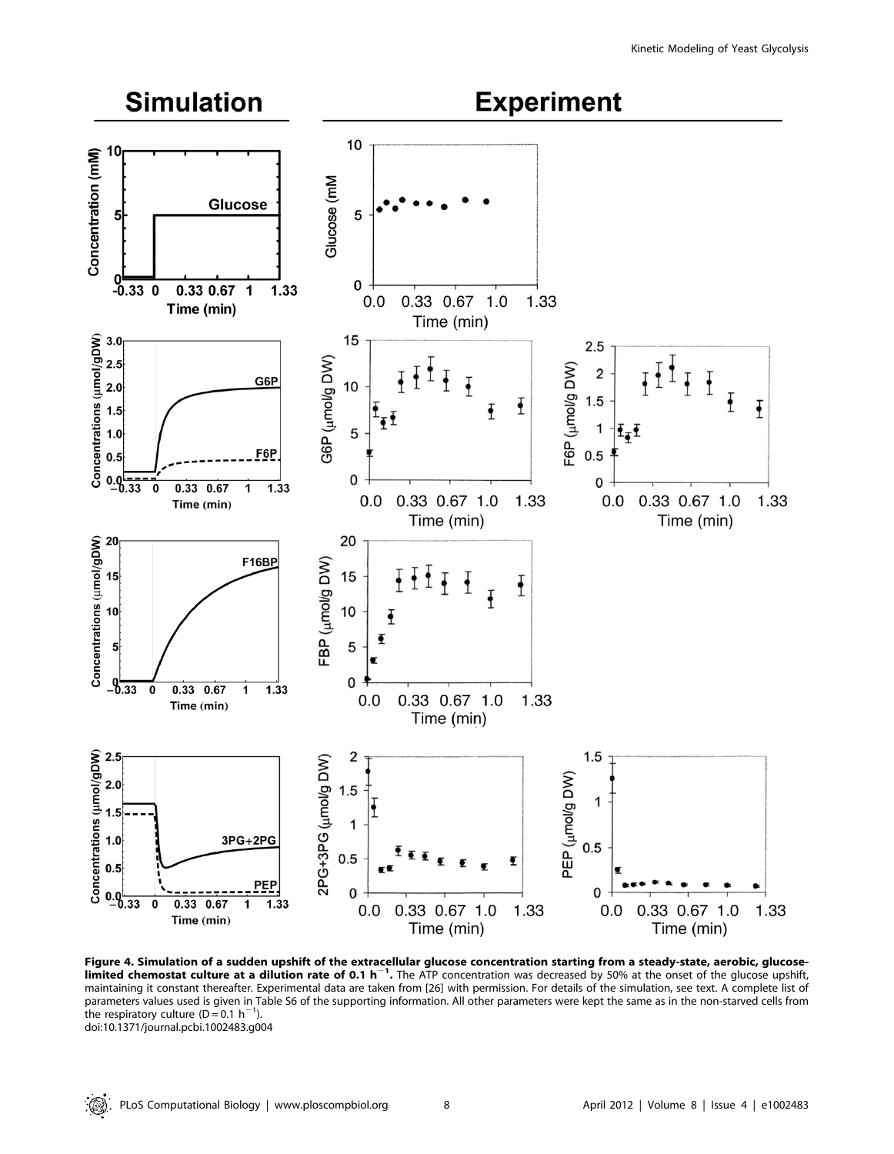

Figure 4. Simulation of a sudden upshift of the extracellular glucose concentration starting from a steady-state, aerobic, glucoselimited chemostat culture at a dilution rate of 0.1  $h^{-1}$ . The ATP concentration was decreased by 50% at the onset of the glucose upshift, maintaining it constant thereafter. Experimental data are taken from [26] with permission. For details of the simulation, see text. A complete list of parameters values used is given in Table S6 of the supporting information. All other parameters were kept the same as in the non-starved cells from the respiratory culture ( $D = 0.1 h^{-1}$ ). doi:10.1371/journal.pcbi.1002483.g004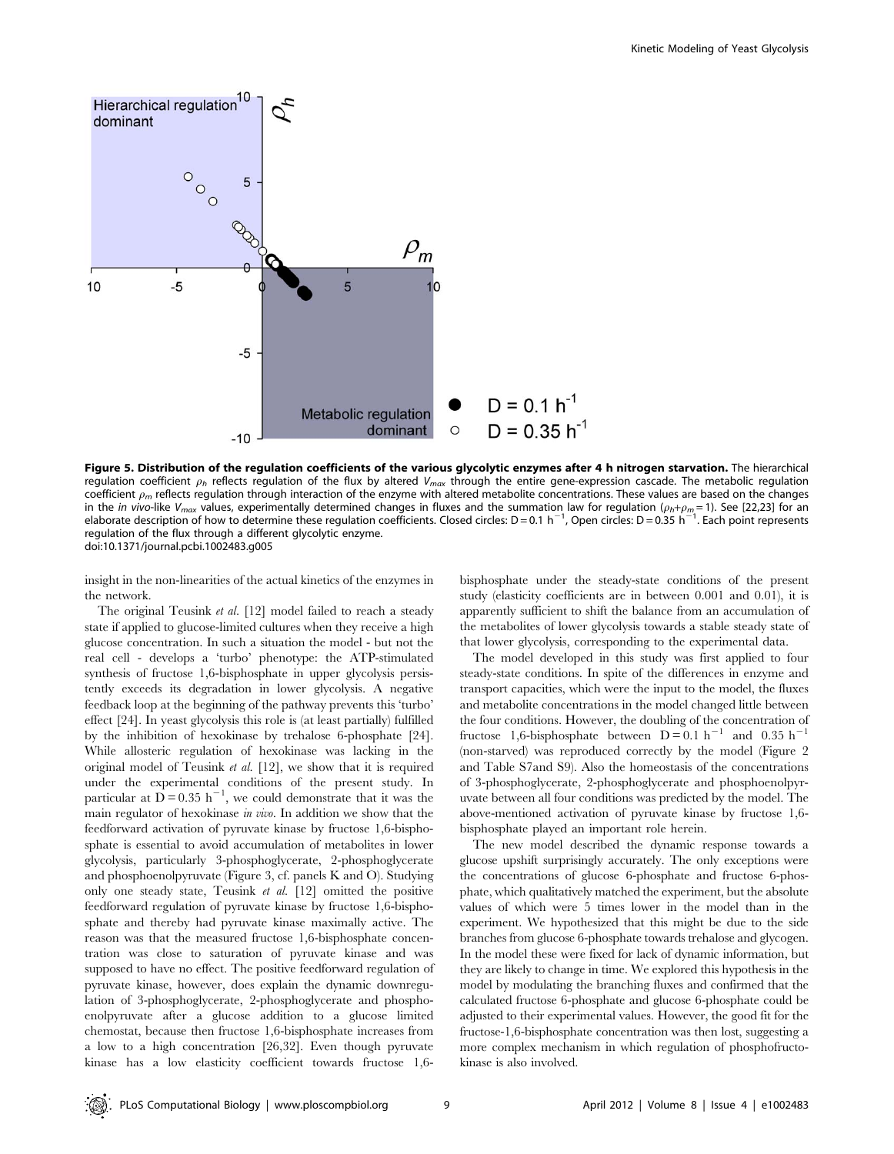

Figure 5. Distribution of the regulation coefficients of the various glycolytic enzymes after 4 h nitrogen starvation. The hierarchical regulation coefficient  $\rho_h$  reflects regulation of the flux by altered V<sub>max</sub> through the entire gene-expression cascade. The metabolic regulation coefficient  $\rho_m$  reflects regulation through interaction of the enzyme with altered metabolite concentrations. These values are based on the changes in the in vivo-like V<sub>max</sub> values, experimentally determined changes in fluxes and the summation law for regulation ( $\rho_h+\rho_m=1$ ). See [22,23] for an elaborate description of how to determine these regulation coefficients. Closed circles: D = 0.1 h<sup>-1</sup>, Open circles: D = 0.35 h<sup>-1</sup>. Each point represents regulation of the flux through a different glycolytic enzyme. doi:10.1371/journal.pcbi.1002483.g005

insight in the non-linearities of the actual kinetics of the enzymes in the network.

The original Teusink et al. [12] model failed to reach a steady state if applied to glucose-limited cultures when they receive a high glucose concentration. In such a situation the model - but not the real cell - develops a 'turbo' phenotype: the ATP-stimulated synthesis of fructose 1,6-bisphosphate in upper glycolysis persistently exceeds its degradation in lower glycolysis. A negative feedback loop at the beginning of the pathway prevents this 'turbo' effect [24]. In yeast glycolysis this role is (at least partially) fulfilled by the inhibition of hexokinase by trehalose 6-phosphate [24]. While allosteric regulation of hexokinase was lacking in the original model of Teusink et al. [12], we show that it is required under the experimental conditions of the present study. In particular at  $\overline{D} = 0.35$  h<sup>-1</sup>, we could demonstrate that it was the main regulator of hexokinase in vivo. In addition we show that the feedforward activation of pyruvate kinase by fructose 1,6-bisphosphate is essential to avoid accumulation of metabolites in lower glycolysis, particularly 3-phosphoglycerate, 2-phosphoglycerate and phosphoenolpyruvate (Figure 3, cf. panels K and O). Studying only one steady state, Teusink et al. [12] omitted the positive feedforward regulation of pyruvate kinase by fructose 1,6-bisphosphate and thereby had pyruvate kinase maximally active. The reason was that the measured fructose 1,6-bisphosphate concentration was close to saturation of pyruvate kinase and was supposed to have no effect. The positive feedforward regulation of pyruvate kinase, however, does explain the dynamic downregulation of 3-phosphoglycerate, 2-phosphoglycerate and phosphoenolpyruvate after a glucose addition to a glucose limited chemostat, because then fructose 1,6-bisphosphate increases from a low to a high concentration [26,32]. Even though pyruvate kinase has a low elasticity coefficient towards fructose 1,6bisphosphate under the steady-state conditions of the present study (elasticity coefficients are in between 0.001 and 0.01), it is apparently sufficient to shift the balance from an accumulation of the metabolites of lower glycolysis towards a stable steady state of that lower glycolysis, corresponding to the experimental data.

The model developed in this study was first applied to four steady-state conditions. In spite of the differences in enzyme and transport capacities, which were the input to the model, the fluxes and metabolite concentrations in the model changed little between the four conditions. However, the doubling of the concentration of fructose 1,6-bisphosphate between  $D = 0.1 h^{-1}$  and 0.35 h<sup>-1</sup> (non-starved) was reproduced correctly by the model (Figure 2 and Table S7and S9). Also the homeostasis of the concentrations of 3-phosphoglycerate, 2-phosphoglycerate and phosphoenolpyruvate between all four conditions was predicted by the model. The above-mentioned activation of pyruvate kinase by fructose 1,6 bisphosphate played an important role herein.

The new model described the dynamic response towards a glucose upshift surprisingly accurately. The only exceptions were the concentrations of glucose 6-phosphate and fructose 6-phosphate, which qualitatively matched the experiment, but the absolute values of which were 5 times lower in the model than in the experiment. We hypothesized that this might be due to the side branches from glucose 6-phosphate towards trehalose and glycogen. In the model these were fixed for lack of dynamic information, but they are likely to change in time. We explored this hypothesis in the model by modulating the branching fluxes and confirmed that the calculated fructose 6-phosphate and glucose 6-phosphate could be adjusted to their experimental values. However, the good fit for the fructose-1,6-bisphosphate concentration was then lost, suggesting a more complex mechanism in which regulation of phosphofructokinase is also involved.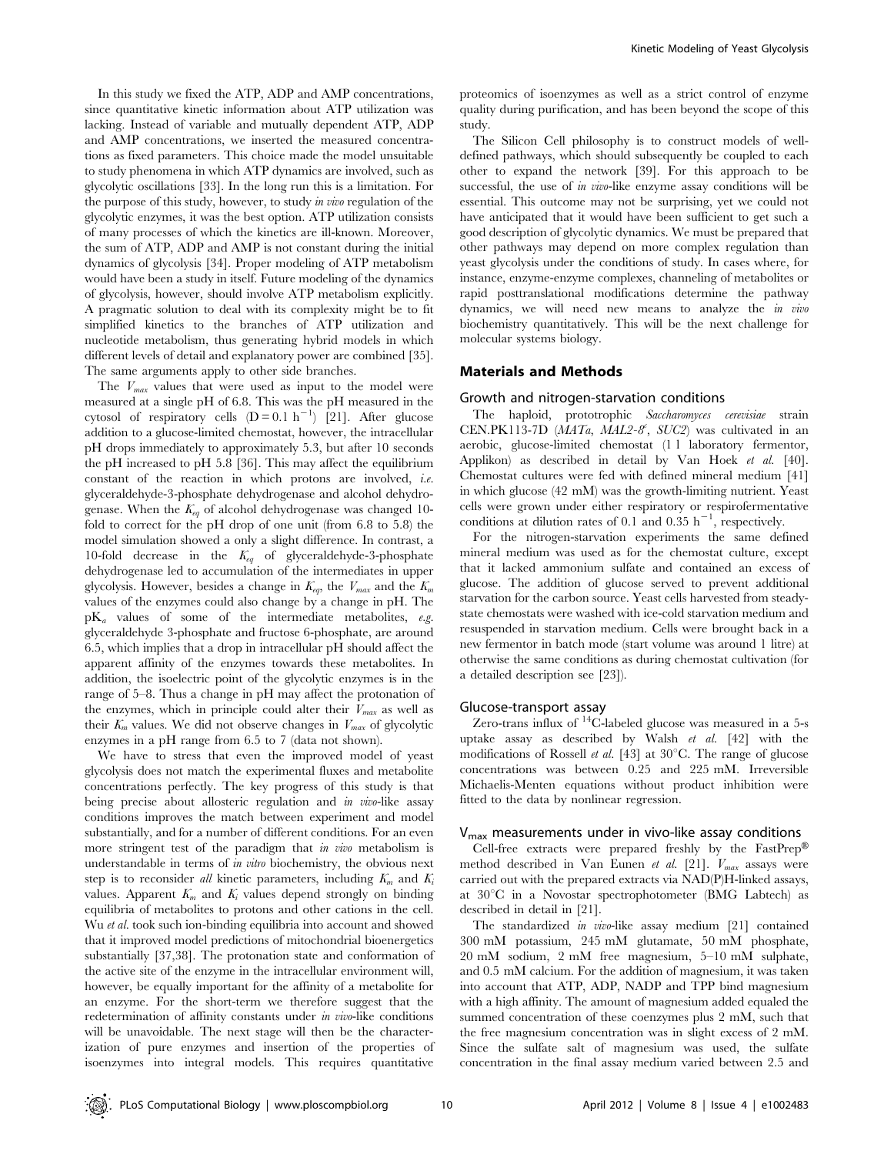In this study we fixed the ATP, ADP and AMP concentrations, since quantitative kinetic information about ATP utilization was lacking. Instead of variable and mutually dependent ATP, ADP and AMP concentrations, we inserted the measured concentrations as fixed parameters. This choice made the model unsuitable to study phenomena in which ATP dynamics are involved, such as glycolytic oscillations [33]. In the long run this is a limitation. For the purpose of this study, however, to study in vivo regulation of the glycolytic enzymes, it was the best option. ATP utilization consists of many processes of which the kinetics are ill-known. Moreover, the sum of ATP, ADP and AMP is not constant during the initial dynamics of glycolysis [34]. Proper modeling of ATP metabolism would have been a study in itself. Future modeling of the dynamics of glycolysis, however, should involve ATP metabolism explicitly. A pragmatic solution to deal with its complexity might be to fit simplified kinetics to the branches of ATP utilization and nucleotide metabolism, thus generating hybrid models in which different levels of detail and explanatory power are combined [35]. The same arguments apply to other side branches.

The  $V_{max}$  values that were used as input to the model were measured at a single pH of 6.8. This was the pH measured in the cytosol of respiratory cells  $(D=0.1 h^{-1})$  [21]. After glucose addition to a glucose-limited chemostat, however, the intracellular pH drops immediately to approximately 5.3, but after 10 seconds the pH increased to pH 5.8 [36]. This may affect the equilibrium constant of the reaction in which protons are involved, i.e. glyceraldehyde-3-phosphate dehydrogenase and alcohol dehydrogenase. When the  $K_{eq}$  of alcohol dehydrogenase was changed 10fold to correct for the pH drop of one unit (from 6.8 to 5.8) the model simulation showed a only a slight difference. In contrast, a 10-fold decrease in the  $K_{eq}$  of glyceraldehyde-3-phosphate dehydrogenase led to accumulation of the intermediates in upper glycolysis. However, besides a change in  $K_{eq}$ , the  $V_{max}$  and the  $K_{m}$ values of the enzymes could also change by a change in pH. The  $pK_a$  values of some of the intermediate metabolites, e.g. glyceraldehyde 3-phosphate and fructose 6-phosphate, are around 6.5, which implies that a drop in intracellular pH should affect the apparent affinity of the enzymes towards these metabolites. In addition, the isoelectric point of the glycolytic enzymes is in the range of 5–8. Thus a change in pH may affect the protonation of the enzymes, which in principle could alter their  $V_{max}$  as well as their  $K_m$  values. We did not observe changes in  $V_{max}$  of glycolytic enzymes in a pH range from 6.5 to 7 (data not shown).

We have to stress that even the improved model of yeast glycolysis does not match the experimental fluxes and metabolite concentrations perfectly. The key progress of this study is that being precise about allosteric regulation and *in vivo-like* assay conditions improves the match between experiment and model substantially, and for a number of different conditions. For an even more stringent test of the paradigm that in vivo metabolism is understandable in terms of in vitro biochemistry, the obvious next step is to reconsider all kinetic parameters, including  $K_m$  and  $K_i$ values. Apparent  $K_m$  and  $K_i$  values depend strongly on binding equilibria of metabolites to protons and other cations in the cell. Wu et al. took such ion-binding equilibria into account and showed that it improved model predictions of mitochondrial bioenergetics substantially [37,38]. The protonation state and conformation of the active site of the enzyme in the intracellular environment will, however, be equally important for the affinity of a metabolite for an enzyme. For the short-term we therefore suggest that the redetermination of affinity constants under in vivo-like conditions will be unavoidable. The next stage will then be the characterization of pure enzymes and insertion of the properties of isoenzymes into integral models. This requires quantitative

proteomics of isoenzymes as well as a strict control of enzyme quality during purification, and has been beyond the scope of this study.

The Silicon Cell philosophy is to construct models of welldefined pathways, which should subsequently be coupled to each other to expand the network [39]. For this approach to be successful, the use of in vivo-like enzyme assay conditions will be essential. This outcome may not be surprising, yet we could not have anticipated that it would have been sufficient to get such a good description of glycolytic dynamics. We must be prepared that other pathways may depend on more complex regulation than yeast glycolysis under the conditions of study. In cases where, for instance, enzyme-enzyme complexes, channeling of metabolites or rapid posttranslational modifications determine the pathway dynamics, we will need new means to analyze the in vivo biochemistry quantitatively. This will be the next challenge for molecular systems biology.

## Materials and Methods

#### Growth and nitrogen-starvation conditions

The haploid, prototrophic Saccharomyces cerevisiae strain CEN.PK113-7D ( $\overline{MATa}$ ,  $\overline{MAL2}$ - $\theta$ <sup>c</sup>,  $\overline{SUC2}$ ) was cultivated in an aerobic, glucose-limited chemostat (1 l laboratory fermentor, Applikon) as described in detail by Van Hoek et al. [40]. Chemostat cultures were fed with defined mineral medium [41] in which glucose (42 mM) was the growth-limiting nutrient. Yeast cells were grown under either respiratory or respirofermentative conditions at dilution rates of 0.1 and 0.35  $h^{-1}$ , respectively.

For the nitrogen-starvation experiments the same defined mineral medium was used as for the chemostat culture, except that it lacked ammonium sulfate and contained an excess of glucose. The addition of glucose served to prevent additional starvation for the carbon source. Yeast cells harvested from steadystate chemostats were washed with ice-cold starvation medium and resuspended in starvation medium. Cells were brought back in a new fermentor in batch mode (start volume was around 1 litre) at otherwise the same conditions as during chemostat cultivation (for a detailed description see [23]).

#### Glucose-transport assay

Zero-trans influx of  $^{14}$ C-labeled glucose was measured in a 5-s uptake assay as described by Walsh et al. [42] with the modifications of Rossell et al. [43] at  $30^{\circ}$ C. The range of glucose concentrations was between 0.25 and 225 mM. Irreversible Michaelis-Menten equations without product inhibition were fitted to the data by nonlinear regression.

### $V_{\text{max}}$  measurements under in vivo-like assay conditions

Cell-free extracts were prepared freshly by the FastPrep® method described in Van Eunen et al. [21].  $V_{max}$  assays were carried out with the prepared extracts via NAD(P)H-linked assays, at  $30^{\circ}$ C in a Novostar spectrophotometer (BMG Labtech) as described in detail in [21].

The standardized in vivo-like assay medium [21] contained 300 mM potassium, 245 mM glutamate, 50 mM phosphate, 20 mM sodium, 2 mM free magnesium, 5–10 mM sulphate, and 0.5 mM calcium. For the addition of magnesium, it was taken into account that ATP, ADP, NADP and TPP bind magnesium with a high affinity. The amount of magnesium added equaled the summed concentration of these coenzymes plus 2 mM, such that the free magnesium concentration was in slight excess of 2 mM. Since the sulfate salt of magnesium was used, the sulfate concentration in the final assay medium varied between 2.5 and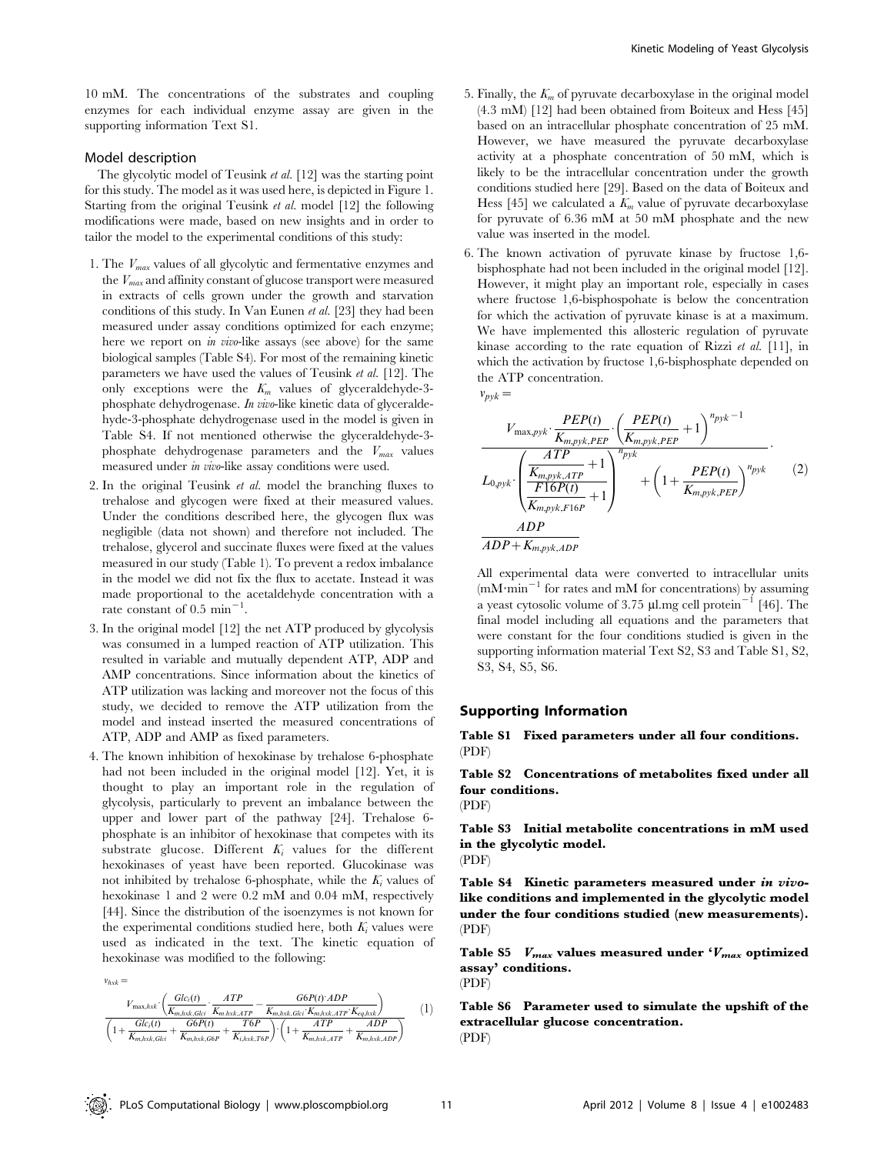10 mM. The concentrations of the substrates and coupling enzymes for each individual enzyme assay are given in the supporting information Text S1.

## Model description

The glycolytic model of Teusink et al. [12] was the starting point for this study. The model as it was used here, is depicted in Figure 1. Starting from the original Teusink et al. model [12] the following modifications were made, based on new insights and in order to tailor the model to the experimental conditions of this study:

- 1. The  $V_{max}$  values of all glycolytic and fermentative enzymes and the  $V_{max}$  and affinity constant of glucose transport were measured in extracts of cells grown under the growth and starvation conditions of this study. In Van Eunen et al. [23] they had been measured under assay conditions optimized for each enzyme; here we report on *in vivo*-like assays (see above) for the same biological samples (Table S4). For most of the remaining kinetic parameters we have used the values of Teusink et al. [12]. The only exceptions were the  $K_m$  values of glyceraldehyde-3phosphate dehydrogenase. In vivo-like kinetic data of glyceraldehyde-3-phosphate dehydrogenase used in the model is given in Table S4. If not mentioned otherwise the glyceraldehyde-3 phosphate dehydrogenase parameters and the  $V_{max}$  values measured under in vivo-like assay conditions were used.
- 2. In the original Teusink et al. model the branching fluxes to trehalose and glycogen were fixed at their measured values. Under the conditions described here, the glycogen flux was negligible (data not shown) and therefore not included. The trehalose, glycerol and succinate fluxes were fixed at the values measured in our study (Table 1). To prevent a redox imbalance in the model we did not fix the flux to acetate. Instead it was made proportional to the acetaldehyde concentration with a rate constant of  $0.5 \text{ min}^{-1}$ .
- 3. In the original model [12] the net ATP produced by glycolysis was consumed in a lumped reaction of ATP utilization. This resulted in variable and mutually dependent ATP, ADP and AMP concentrations. Since information about the kinetics of ATP utilization was lacking and moreover not the focus of this study, we decided to remove the ATP utilization from the model and instead inserted the measured concentrations of ATP, ADP and AMP as fixed parameters.
- 4. The known inhibition of hexokinase by trehalose 6-phosphate had not been included in the original model [12]. Yet, it is thought to play an important role in the regulation of glycolysis, particularly to prevent an imbalance between the upper and lower part of the pathway [24]. Trehalose 6 phosphate is an inhibitor of hexokinase that competes with its substrate glucose. Different  $K_i$  values for the different hexokinases of yeast have been reported. Glucokinase was not inhibited by trehalose 6-phosphate, while the  $K_i$  values of hexokinase 1 and 2 were 0.2 mM and 0.04 mM, respectively [44]. Since the distribution of the isoenzymes is not known for the experimental conditions studied here, both  $K_i$  values were used as indicated in the text. The kinetic equation of hexokinase was modified to the following:

$$
v_{h x k} =
$$

$$
\frac{V_{\max,hxk} \cdot \left(\frac{Glc_i(t)}{K_{m,hxk,Gli}} \cdot \frac{ATP}{K_{m,hxk,ATP}} - \frac{G6P(t) \cdot ADP}{K_{m,hxk,Gli} \cdot K_{m,hxk,ATP} \cdot K_{eq,hxk}}\right)}{(1 + \frac{Glc_i(t)}{K_{m,hxk,Gli}} + \frac{G6P(t)}{K_{m,hxk,G6P}} + \frac{T6P}{K_{i,hxk,T6P}}) \cdot \left(1 + \frac{ATP}{K_{m,hxk,ATP}} + \frac{ADP}{K_{m,hxk,ATP}}\right)}
$$
(1)

:

 $(2)$ 

- 5. Finally, the  $K_m$  of pyruvate decarboxylase in the original model (4.3 mM) [12] had been obtained from Boiteux and Hess [45] based on an intracellular phosphate concentration of 25 mM. However, we have measured the pyruvate decarboxylase activity at a phosphate concentration of 50 mM, which is likely to be the intracellular concentration under the growth conditions studied here [29]. Based on the data of Boiteux and Hess [45] we calculated a  $K_m$  value of pyruvate decarboxylase for pyruvate of 6.36 mM at 50 mM phosphate and the new value was inserted in the model.
- 6. The known activation of pyruvate kinase by fructose 1,6 bisphosphate had not been included in the original model [12]. However, it might play an important role, especially in cases where fructose 1,6-bisphospohate is below the concentration for which the activation of pyruvate kinase is at a maximum. We have implemented this allosteric regulation of pyruvate kinase according to the rate equation of Rizzi et al. [11], in which the activation by fructose 1,6-bisphosphate depended on the ATP concentration.

$$
\frac{V_{\max, pyk} \cdot \frac{PEP(t)}{K_{m, pyk, PEP}} \cdot \left(\frac{PEP(t)}{K_{m, pyk, PEP}} + 1\right)^{n_{pyk} - 1}}{L_{0, pyk} \cdot \left(\frac{ATP}{F16P(t)} + 1\right)^{n_{pyk}} + \left(1 + \frac{PEP(t)}{K_{m, pyk, PEP}}\right)^{n_{pyk}}}
$$

$$
\frac{P_{\text{tot}}(t)}{K_{m,pyk,F16P}} + 1
$$
\n
$$
\frac{ADP}{ADP + K_{m,pyk,ADP}}
$$

 $F16P(t)$ 

 $v_{pvk}$ 

All experimental data were converted to intracellular units  $(mM·min^{-1}$  for rates and mM for concentrations) by assuming a yeast cytosolic volume of 3.75  $\mu$ l.mg cell protein<sup>-1</sup> [46]. The final model including all equations and the parameters that were constant for the four conditions studied is given in the supporting information material Text S2, S3 and Table S1, S2, S3, S4, S5, S6.

#### Supporting Information

Table S1 Fixed parameters under all four conditions. (PDF)

Table S2 Concentrations of metabolites fixed under all four conditions.

(PDF)

Table S3 Initial metabolite concentrations in mM used in the glycolytic model. (PDF)

Table S4 Kinetic parameters measured under in vivolike conditions and implemented in the glycolytic model under the four conditions studied (new measurements). (PDF)

Table S5  $V_{max}$  values measured under  $V_{max}$  optimized assay' conditions. (PDF)

Table S6 Parameter used to simulate the upshift of the extracellular glucose concentration. (PDF)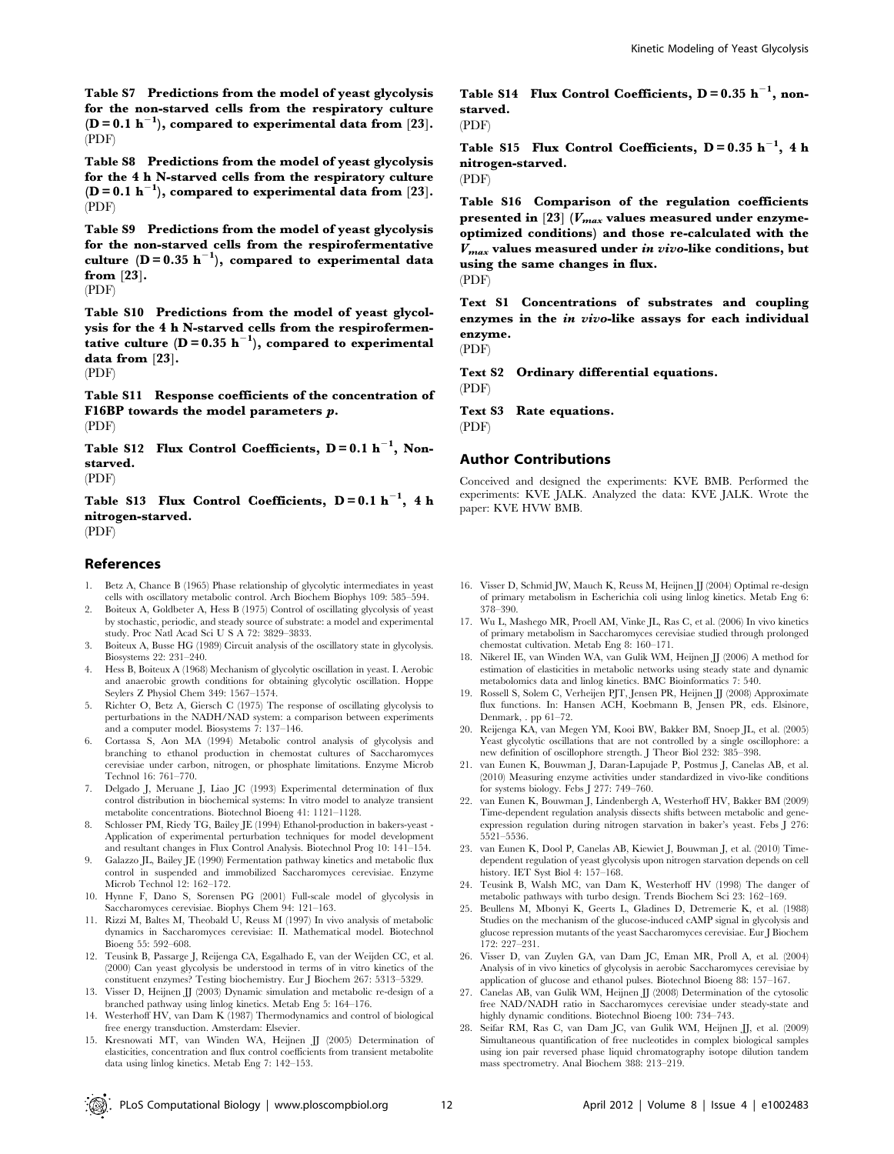Table S7 Predictions from the model of yeast glycolysis for the non-starved cells from the respiratory culture  $(D=0.1 h^{-1})$ , compared to experimental data from [23]. (PDF)

Table S8 Predictions from the model of yeast glycolysis for the 4 h N-starved cells from the respiratory culture  $(D=0.1 h^{-1})$ , compared to experimental data from [23]. (PDF)

Table S9 Predictions from the model of yeast glycolysis for the non-starved cells from the respirofermentative culture  $(D = 0.35 h^{-1})$ , compared to experimental data from [23].

(PDF)

Table S10 Predictions from the model of yeast glycolysis for the 4 h N-starved cells from the respirofermentative culture  $(D = 0.35 \text{ h}^{-1})$ , compared to experimental data from [23]. (PDF)

Table S11 Response coefficients of the concentration of F16BP towards the model parameters p. (PDF)

Table S12 Flux Control Coefficients,  $D = 0.1 h^{-1}$ , Nonstarved. (PDF)

Table S13 Flux Control Coefficients,  $D = 0.1 h^{-1}$ , 4h nitrogen-starved. (PDF)

## References

- 1. Betz A, Chance B (1965) Phase relationship of glycolytic intermediates in yeast cells with oscillatory metabolic control. Arch Biochem Biophys 109: 585–594.
- 2. Boiteux A, Goldbeter A, Hess B (1975) Control of oscillating glycolysis of yeast by stochastic, periodic, and steady source of substrate: a model and experimental study. Proc Natl Acad Sci U S A 72: 3829–3833.
- 3. Boiteux A, Busse HG (1989) Circuit analysis of the oscillatory state in glycolysis. Biosystems 22: 231–240.
- 4. Hess B, Boiteux A (1968) Mechanism of glycolytic oscillation in yeast. I. Aerobic and anaerobic growth conditions for obtaining glycolytic oscillation. Hoppe Seylers Z Physiol Chem 349: 1567–1574.
- 5. Richter O, Betz A, Giersch C (1975) The response of oscillating glycolysis to perturbations in the NADH/NAD system: a comparison between experiments and a computer model. Biosystems 7: 137–146.
- 6. Cortassa S, Aon MA (1994) Metabolic control analysis of glycolysis and branching to ethanol production in chemostat cultures of Saccharomyces cerevisiae under carbon, nitrogen, or phosphate limitations. Enzyme Microb Technol 16: 761–770.
- 7. Delgado J, Meruane J, Liao JC (1993) Experimental determination of flux control distribution in biochemical systems: In vitro model to analyze transient metabolite concentrations. Biotechnol Bioeng 41: 1121–1128.
- 8. Schlosser PM, Riedy TG, Bailey JE (1994) Ethanol-production in bakers-yeast Application of experimental perturbation techniques for model development and resultant changes in Flux Control Analysis. Biotechnol Prog 10: 141–154.
- 9. Galazzo JL, Bailey JE (1990) Fermentation pathway kinetics and metabolic flux control in suspended and immobilized Saccharomyces cerevisiae. Enzyme Microb Technol 12: 162–172.
- 10. Hynne F, Dano S, Sorensen PG (2001) Full-scale model of glycolysis in Saccharomyces cerevisiae. Biophys Chem 94: 121–163.
- 11. Rizzi M, Baltes M, Theobald U, Reuss M (1997) In vivo analysis of metabolic dynamics in Saccharomyces cerevisiae: II. Mathematical model. Biotechnol Bioeng 55: 592–608.
- 12. Teusink B, Passarge J, Reijenga CA, Esgalhado E, van der Weijden CC, et al. (2000) Can yeast glycolysis be understood in terms of in vitro kinetics of the constituent enzymes? Testing biochemistry. Eur J Biochem 267: 5313–5329.
- Visser D, Heijnen JJ (2003) Dynamic simulation and metabolic re-design of a branched pathway using linlog kinetics. Metab Eng 5: 164–176.
- 14. Westerhoff HV, van Dam K (1987) Thermodynamics and control of biological free energy transduction. Amsterdam: Elsevier.
- 15. Kresnowati MT, van Winden WA, Heijnen JJ (2005) Determination of elasticities, concentration and flux control coefficients from transient metabolite data using linlog kinetics. Metab Eng 7: 142–153.

Table S14 Flux Control Coefficients,  $D = 0.35$  h<sup>-1</sup>, nonstarved. (PDF)

Table S15 Flux Control Coefficients,  $D = 0.35 h^{-1}$ , 4h nitrogen-starved.

(PDF)

Table S16 Comparison of the regulation coefficients presented in [23] ( $V_{max}$  values measured under enzymeoptimized conditions) and those re-calculated with the  $V_{max}$  values measured under in vivo-like conditions, but using the same changes in flux. (PDF)

Text S1 Concentrations of substrates and coupling enzymes in the in vivo-like assays for each individual enzyme.

(PDF)

Text S2 Ordinary differential equations.

(PDF)

Text S3 Rate equations. (PDF)

## Author Contributions

Conceived and designed the experiments: KVE BMB. Performed the experiments: KVE JALK. Analyzed the data: KVE JALK. Wrote the paper: KVE HVW BMB.

- 16. Visser D, Schmid JW, Mauch K, Reuss M, Heijnen JJ (2004) Optimal re-design of primary metabolism in Escherichia coli using linlog kinetics. Metab Eng 6: 378–390.
- 17. Wu L, Mashego MR, Proell AM, Vinke JL, Ras C, et al. (2006) In vivo kinetics of primary metabolism in Saccharomyces cerevisiae studied through prolonged chemostat cultivation. Metab Eng 8: 160–171.
- 18. Nikerel IE, van Winden WA, van Gulik WM, Heijnen JJ (2006) A method for estimation of elasticities in metabolic networks using steady state and dynamic metabolomics data and linlog kinetics. BMC Bioinformatics 7: 540.
- 19. Rossell S, Solem C, Verheijen PJT, Jensen PR, Heijnen JJ (2008) Approximate flux functions. In: Hansen ACH, Koebmann B, Jensen PR, eds. Elsinore, Denmark, . pp 61–72.
- 20. Reijenga KA, van Megen YM, Kooi BW, Bakker BM, Snoep JL, et al. (2005) Yeast glycolytic oscillations that are not controlled by a single oscillophore: a new definition of oscillophore strength. J Theor Biol 232: 385–398.
- 21. van Eunen K, Bouwman J, Daran-Lapujade P, Postmus J, Canelas AB, et al. (2010) Measuring enzyme activities under standardized in vivo-like conditions for systems biology. Febs J 277: 749–760.
- 22. van Eunen K, Bouwman J, Lindenbergh A, Westerhoff HV, Bakker BM (2009) Time-dependent regulation analysis dissects shifts between metabolic and geneexpression regulation during nitrogen starvation in baker's yeast. Febs J 276: 5521–5536.
- 23. van Eunen K, Dool P, Canelas AB, Kiewiet J, Bouwman J, et al. (2010) Timedependent regulation of yeast glycolysis upon nitrogen starvation depends on cell history. IET Syst Biol 4: 157–168.
- 24. Teusink B, Walsh MC, van Dam K, Westerhoff HV (1998) The danger of metabolic pathways with turbo design. Trends Biochem Sci 23: 162–169.
- 25. Beullens M, Mbonyi K, Geerts L, Gladines D, Detremerie K, et al. (1988) Studies on the mechanism of the glucose-induced cAMP signal in glycolysis and glucose repression mutants of the yeast Saccharomyces cerevisiae. Eur J Biochem 172: 227–231.
- 26. Visser D, van Zuylen GA, van Dam JC, Eman MR, Proll A, et al. (2004) Analysis of in vivo kinetics of glycolysis in aerobic Saccharomyces cerevisiae by application of glucose and ethanol pulses. Biotechnol Bioeng 88: 157–167.
- 27. Canelas AB, van Gulik WM, Heijnen JJ (2008) Determination of the cytosolic free NAD/NADH ratio in Saccharomyces cerevisiae under steady-state and highly dynamic conditions. Biotechnol Bioeng 100: 734–743.
- 28. Seifar RM, Ras C, van Dam JC, van Gulik WM, Heijnen JJ, et al. (2009) Simultaneous quantification of free nucleotides in complex biological samples using ion pair reversed phase liquid chromatography isotope dilution tandem mass spectrometry. Anal Biochem 388: 213–219.